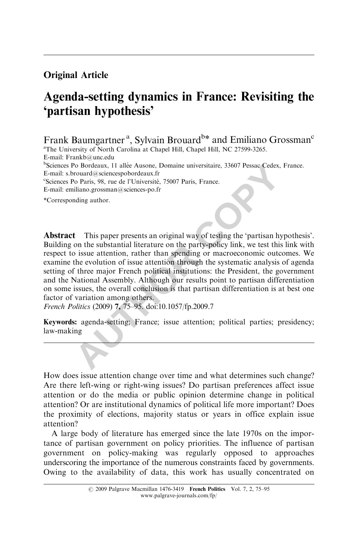# Original Article

# Agenda-setting dynamics in France: Revisiting the 'partisan hypothesis'

Frank Baumgartner<sup>a</sup>, Sylvain Brouard<sup>b\*</sup> and Emiliano Grossman<sup>c</sup>

<sup>a</sup>The University of North Carolina at Chapel Hill, Chapel Hill, NC 27599-3265. E-mail: Frankb@unc.edu <sup>b</sup>Sciences Po Bordeaux, 11 allée Ausone, Domaine universitaire, 33607 Pessac Cedex, France. E-mail: s.brouard@sciencespobordeaux.fr <sup>c</sup>Sciences Po Paris, 98, rue de l'Université, 75007 Paris, France. E-mail: emiliano.grossman@sciences-po.fr

\*Corresponding author.

Froutard exciences phorderators. The Ausone, Domaine universitaire, 33607 Pessac Cedex, Froutard exciences phorderators. The best of Politican and Copyrigon Copyrigon Copyrigon Copyrigon Copyrigon Copyrigon Copyrigon Conti Abstract This paper presents an original way of testing the 'partisan hypothesis'. Building on the substantial literature on the party-policy link, we test this link with respect to issue attention, rather than spending or macroeconomic outcomes. We examine the evolution of issue attention through the systematic analysis of agenda setting of three major French political institutions: the President, the government and the National Assembly. Although our results point to partisan differentiation on some issues, the overall conclusion is that partisan differentiation is at best one factor of variation among others.

French Politics (2009) 7, 75–95. doi:10.1057/fp.2009.7

Keywords: agenda-setting; France; issue attention; political parties; presidency; law-making

How does issue attention change over time and what determines such change? Are there left-wing or right-wing issues? Do partisan preferences affect issue attention or do the media or public opinion determine change in political attention? Or are institutional dynamics of political life more important? Does the proximity of elections, majority status or years in office explain issue attention?

A large body of literature has emerged since the late 1970s on the importance of partisan government on policy priorities. The influence of partisan government on policy-making was regularly opposed to approaches underscoring the importance of the numerous constraints faced by governments. Owing to the availability of data, this work has usually concentrated on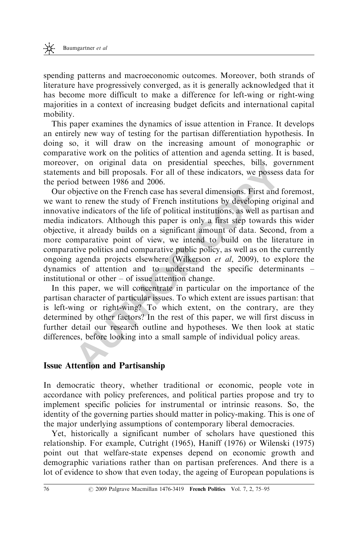spending patterns and macroeconomic outcomes. Moreover, both strands of literature have progressively converged, as it is generally acknowledged that it has become more difficult to make a difference for left-wing or right-wing majorities in a context of increasing budget deficits and international capital mobility.

This paper examines the dynamics of issue attention in France. It develops an entirely new way of testing for the partisan differentiation hypothesis. In doing so, it will draw on the increasing amount of monographic or comparative work on the politics of attention and agenda setting. It is based, moreover, on original data on presidential speeches, bills, government statements and bill proposals. For all of these indicators, we possess data for the period between 1986 and 2006.

1, on Original data on presidential speeches, oms, gove<br>at an oill proposals. For all of these indicators, we possess d<br>d between 1986 and 2006.<br>bjective on the French case has several dimensions. First and for<br>to renew th Our objective on the French case has several dimensions. First and foremost, we want to renew the study of French institutions by developing original and innovative indicators of the life of political institutions, as well as partisan and media indicators. Although this paper is only a first step towards this wider objective, it already builds on a significant amount of data. Second, from a more comparative point of view, we intend to build on the literature in comparative politics and comparative public policy, as well as on the currently ongoing agenda projects elsewhere (Wilkerson et al, 2009), to explore the dynamics of attention and to understand the specific determinants – institutional or other – of issue attention change.

In this paper, we will concentrate in particular on the importance of the partisan character of particular issues. To which extent are issues partisan: that is left-wing or right-wing? To which extent, on the contrary, are they determined by other factors? In the rest of this paper, we will first discuss in further detail our research outline and hypotheses. We then look at static differences, before looking into a small sample of individual policy areas.

#### Issue Attention and Partisanship

In democratic theory, whether traditional or economic, people vote in accordance with policy preferences, and political parties propose and try to implement specific policies for instrumental or intrinsic reasons. So, the identity of the governing parties should matter in policy-making. This is one of the major underlying assumptions of contemporary liberal democracies.

Yet, historically a significant number of scholars have questioned this relationship. For example, Cutright (1965), Haniff (1976) or Wilenski (1975) point out that welfare-state expenses depend on economic growth and demographic variations rather than on partisan preferences. And there is a lot of evidence to show that even today, the ageing of European populations is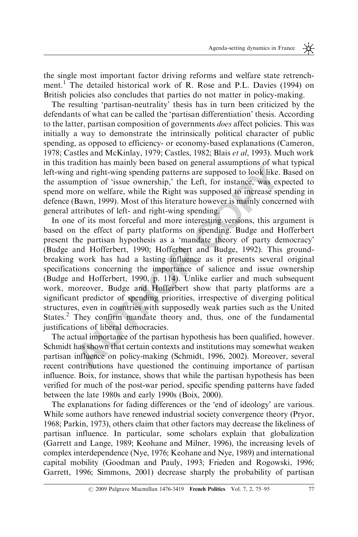the single most important factor driving reforms and welfare state retrenchment.<sup>1</sup> The detailed historical work of R. Rose and P.L. Davies (1994) on British policies also concludes that parties do not matter in policy-making.

The resulting 'partisan-neutrality' thesis has in turn been criticized by the defendants of what can be called the 'partisan differentiation' thesis. According to the latter, partisan composition of governments does affect policies. This was initially a way to demonstrate the intrinsically political character of public spending, as opposed to efficiency- or economy-based explanations (Cameron, 1978; Castles and McKinlay, 1979; Castles, 1982; Blais et al, 1993). Much work in this tradition has mainly been based on general assumptions of what typical left-wing and right-wing spending patterns are supposed to look like. Based on the assumption of 'issue ownership,' the Left, for instance, was expected to spend more on welfare, while the Right was supposed to increase spending in defence (Bawn, 1999). Most of this literature however is mainly concerned with general attributes of left- and right-wing spending.

adurion has hamily been based on general assumptions of what<br>a and right-wing spending patterns are supposed to look like. Based and right-wing spending patterns are supposed to look like. Based or on welfare, while the Ri In one of its most forceful and more interesting versions, this argument is based on the effect of party platforms on spending. Budge and Hofferbert present the partisan hypothesis as a 'mandate theory of party democracy' (Budge and Hofferbert, 1990; Hofferbert and Budge, 1992). This groundbreaking work has had a lasting influence as it presents several original specifications concerning the importance of salience and issue ownership (Budge and Hofferbert, 1990, p. 114). Unlike earlier and much subsequent work, moreover, Budge and Hofferbert show that party platforms are a significant predictor of spending priorities, irrespective of diverging political structures, even in countries with supposedly weak parties such as the United States.2 They confirm mandate theory and, thus, one of the fundamental justifications of liberal democracies.

The actual importance of the partisan hypothesis has been qualified, however. Schmidt has shown that certain contexts and institutions may somewhat weaken partisan influence on policy-making (Schmidt, 1996, 2002). Moreover, several recent contributions have questioned the continuing importance of partisan influence. Boix, for instance, shows that while the partisan hypothesis has been verified for much of the post-war period, specific spending patterns have faded between the late 1980s and early 1990s (Boix, 2000).

The explanations for fading differences or the 'end of ideology' are various. While some authors have renewed industrial society convergence theory (Pryor, 1968; Parkin, 1973), others claim that other factors may decrease the likeliness of partisan influence. In particular, some scholars explain that globalization (Garrett and Lange, 1989; Keohane and Milner, 1996), the increasing levels of complex interdependence (Nye, 1976; Keohane and Nye, 1989) and international capital mobility (Goodman and Pauly, 1993; Frieden and Rogowski, 1996; Garrett, 1996; Simmons, 2001) decrease sharply the probability of partisan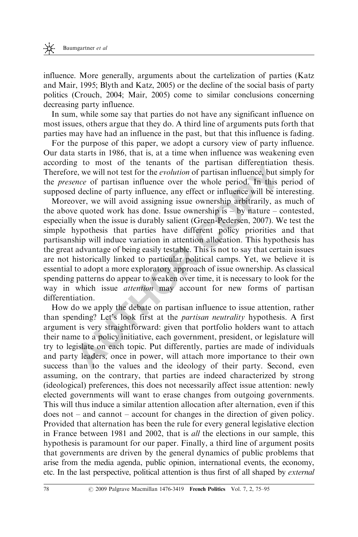influence. More generally, arguments about the cartelization of parties (Katz and Mair, 1995; Blyth and Katz, 2005) or the decline of the social basis of party politics (Crouch, 2004; Mair, 2005) come to similar conclusions concerning decreasing party influence.

In sum, while some say that parties do not have any significant influence on most issues, others argue that they do. A third line of arguments puts forth that parties may have had an influence in the past, but that this influence is fading.

For the purpose of this paper, we adopt a cursory view of party influence. Our data starts in 1986, that is, at a time when influence was weakening even according to most of the tenants of the partisan differentiation thesis. Therefore, we will not test for the evolution of partisan influence, but simply for the presence of partisan influence over the whole period. In this period of supposed decline of party influence, any effect or influence will be interesting.

g to most of the lenatis of the partisan direteration<br>
e. we will not test for the *evolution* of partisan influence, but sim-<br>
and decline of partiy influence, any effect or influence will be inter-<br>
by the decline of par Moreover, we will avoid assigning issue ownership arbitrarily, as much of the above quoted work has done. Issue ownership is  $-$  by nature – contested, especially when the issue is durably salient (Green-Pedersen, 2007). We test the simple hypothesis that parties have different policy priorities and that partisanship will induce variation in attention allocation. This hypothesis has the great advantage of being easily testable. This is not to say that certain issues are not historically linked to particular political camps. Yet, we believe it is essential to adopt a more exploratory approach of issue ownership. As classical spending patterns do appear to weaken over time, it is necessary to look for the way in which issue *attention* may account for new forms of partisan differentiation.

How do we apply the debate on partisan influence to issue attention, rather than spending? Let's look first at the partisan neutrality hypothesis. A first argument is very straightforward: given that portfolio holders want to attach their name to a policy initiative, each government, president, or legislature will try to legislate on each topic. Put differently, parties are made of individuals and party leaders, once in power, will attach more importance to their own success than to the values and the ideology of their party. Second, even assuming, on the contrary, that parties are indeed characterized by strong (ideological) preferences, this does not necessarily affect issue attention: newly elected governments will want to erase changes from outgoing governments. This will thus induce a similar attention allocation after alternation, even if this does not – and cannot – account for changes in the direction of given policy. Provided that alternation has been the rule for every general legislative election in France between 1981 and 2002, that is all the elections in our sample, this hypothesis is paramount for our paper. Finally, a third line of argument posits that governments are driven by the general dynamics of public problems that arise from the media agenda, public opinion, international events, the economy, etc. In the last perspective, political attention is thus first of all shaped by external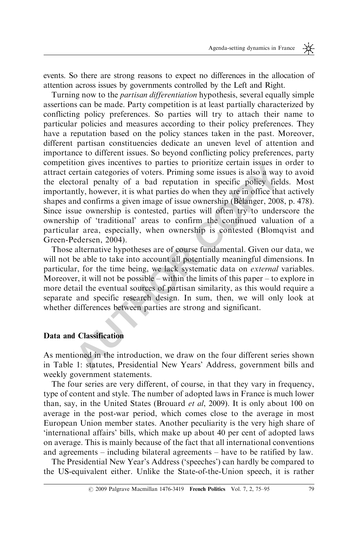events. So there are strong reasons to expect no differences in the allocation of attention across issues by governments controlled by the Left and Right.

not gives incentives to partical partical partical particular states in our diverse term categories of voters. Priming some issues is also a way to transland confirms a given image of issue ownership (Bélanger, 2008, the o Turning now to the *partisan differentiation* hypothesis, several equally simple assertions can be made. Party competition is at least partially characterized by conflicting policy preferences. So parties will try to attach their name to particular policies and measures according to their policy preferences. They have a reputation based on the policy stances taken in the past. Moreover, different partisan constituencies dedicate an uneven level of attention and importance to different issues. So beyond conflicting policy preferences, party competition gives incentives to parties to prioritize certain issues in order to attract certain categories of voters. Priming some issues is also a way to avoid the electoral penalty of a bad reputation in specific policy fields. Most importantly, however, it is what parties do when they are in office that actively shapes and confirms a given image of issue ownership (Bélanger, 2008, p. 478). Since issue ownership is contested, parties will often try to underscore the ownership of 'traditional' areas to confirm the continued valuation of a particular area, especially, when ownership is contested (Blomqvist and Green-Pedersen, 2004).

Those alternative hypotheses are of course fundamental. Given our data, we will not be able to take into account all potentially meaningful dimensions. In particular, for the time being, we lack systematic data on external variables. Moreover, it will not be possible – within the limits of this paper – to explore in more detail the eventual sources of partisan similarity, as this would require a separate and specific research design. In sum, then, we will only look at whether differences between parties are strong and significant.

# Data and Classification

As mentioned in the introduction, we draw on the four different series shown in Table 1: statutes, Presidential New Years' Address, government bills and weekly government statements.

The four series are very different, of course, in that they vary in frequency, type of content and style. The number of adopted laws in France is much lower than, say, in the United States (Brouard et al, 2009). It is only about 100 on average in the post-war period, which comes close to the average in most European Union member states. Another peculiarity is the very high share of 'international affairs' bills, which make up about 40 per cent of adopted laws on average. This is mainly because of the fact that all international conventions and agreements – including bilateral agreements – have to be ratified by law.

The Presidential New Year's Address ('speeches') can hardly be compared to the US-equivalent either. Unlike the State-of-the-Union speech, it is rather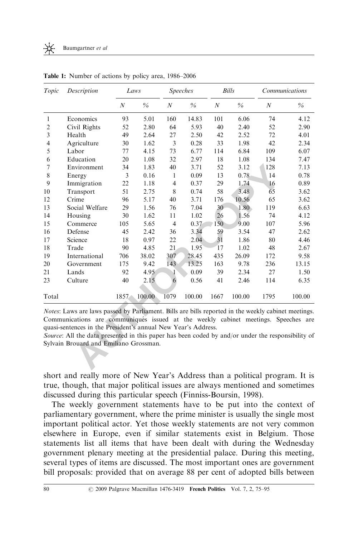|                |                | Laws             |               | <b>Speeches</b>  |               |                  | <b>Bills</b>  | Communications   |               |
|----------------|----------------|------------------|---------------|------------------|---------------|------------------|---------------|------------------|---------------|
|                |                | $\boldsymbol{N}$ | $\frac{0}{6}$ | $\boldsymbol{N}$ | $\frac{0}{0}$ | $\boldsymbol{N}$ | $\frac{0}{0}$ | $\boldsymbol{N}$ | $\frac{0}{6}$ |
| $\mathbf{1}$   | Economics      | 93               | 5.01          | 160              | 14.83         | 101              | 6.06          | 74               | 4.12          |
| $\overline{c}$ | Civil Rights   | 52               | 2.80          | 64               | 5.93          | 40               | 2.40          | 52               | 2.90          |
| 3              | Health         | 49               | 2.64          | 27               | 2.50          | 42               | 2.52          | 72               | 4.01          |
| 4              | Agriculture    | 30               | 1.62          | 3                | 0.28          | 33               | 1.98          | 42               | 2.34          |
| 5              | Labor          | 77               | 4.15          | 73               | 6.77          | 114              | 6.84          | 109              | 6.07          |
| 6              | Education      | 20               | 1.08          | 32               | 2.97          | 18               | 1.08          | 134              | 7.47          |
| 7              | Environment    | 34               | 1.83          | 40               | 3.71          | 52               | 3.12          | 128              | 7.13          |
| 8              | Energy         | 3                | 0.16          | 1                | 0.09          | 13               | 0.78          | 14               | 0.78          |
| 9              | Immigration    | 22               | 1.18          | $\overline{4}$   | 0.37          | 29               | 1.74          | 16               | 0.89          |
| 10             | Transport      | 51               | 2.75          | 8                | 0.74          | 58               | 3.48          | 65               | 3.62          |
| 12             | Crime          | 96               | 5.17          | 40               | 3.71          | 176              | 10.56         | 65               | 3.62          |
| 13             | Social Welfare | 29               | 1.56          | 76               | 7.04          | 30               | 1.80          | 119              | 6.63          |
| 14             | Housing        | 30               | 1.62          | 11               | 1.02          | 26               | 1.56          | 74               | 4.12          |
| 15             | Commerce       | 105              | 5.65          | $\overline{4}$   | 0.37          | 150              | 9.00          | 107              | 5.96          |
| 16             | Defense        | 45               | 2.42          | 36               | 3.34          | 59               | 3.54          | 47               | 2.62          |
| 17             | Science        | 18               | 0.97          | 22               | 2.04          | 31               | 1.86          | 80               | 4.46          |
| 18             | Trade          | 90               | 4.85          | 21               | 1.95          | 17               | 1.02          | 48               | 2.67          |
| 19             | International  | 706              | 38.02         | 307              | 28.45         | 435              | 26.09         | 172              | 9.58          |
| 20             | Government     | 175              | 9.42          | 143              | 13.25         | 163              | 9.78          | 236              | 13.15         |
| 21             | Lands          | 92               | 4.95          | 1                | 0.09          | 39               | 2.34          | 27               | 1.50          |
| 23             | Culture        | 40               | 2.15          | 6                | 0.56          | 41               | 2.46          | 114              | 6.35          |
| Total          |                | 1857             | 100.00        | 1079             | 100.00        | 1667             | 100.00        | 1795             | 100.00        |

Table 1: Number of actions by policy area, 1986–2006

short and really more of New Year's Address than a political program. It is true, though, that major political issues are always mentioned and sometimes discussed during this particular speech (Finniss-Boursin, 1998).

The weekly government statements have to be put into the context of parliamentary government, where the prime minister is usually the single most important political actor. Yet those weekly statements are not very common elsewhere in Europe, even if similar statements exist in Belgium. Those statements list all items that have been dealt with during the Wednesday government plenary meeting at the presidential palace. During this meeting, several types of items are discussed. The most important ones are government bill proposals: provided that on average 88 per cent of adopted bills between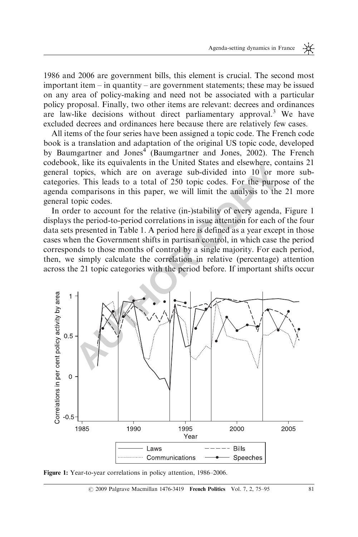1986 and 2006 are government bills, this element is crucial. The second most important item – in quantity – are government statements; these may be issued on any area of policy-making and need not be associated with a particular policy proposal. Finally, two other items are relevant: decrees and ordinances are law-like decisions without direct parliamentary approval.<sup>3</sup> We have excluded decrees and ordinances here because there are relatively few cases.

All items of the four series have been assigned a topic code. The French code book is a translation and adaptation of the original US topic code, developed by Baumgartner and Jones<sup>4</sup> (Baumgartner and Jones, 2002). The French codebook, like its equivalents in the United States and elsewhere, contains 21 general topics, which are on average sub-divided into 10 or more subcategories. This leads to a total of 250 topic codes. For the purpose of the agenda comparisons in this paper, we will limit the analysis to the 21 more general topic codes.

In order to account for the relative (in-)stability of every agenda, Figure 1 displays the period-to-period correlations in issue attention for each of the four data sets presented in Table 1. A period here is defined as a year except in those cases when the Government shifts in partisan control, in which case the period corresponds to those months of control by a single majority. For each period, then, we simply calculate the correlation in relative (percentage) attention across the 21 topic categories with the period before. If important shifts occur



Figure 1: Year-to-year correlations in policy attention, 1986–2006.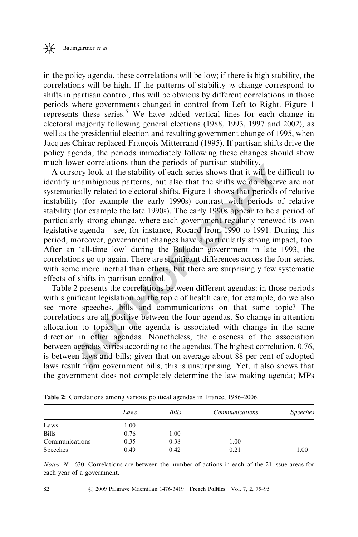in the policy agenda, these correlations will be low; if there is high stability, the correlations will be high. If the patterns of stability vs change correspond to shifts in partisan control, this will be obvious by different correlations in those periods where governments changed in control from Left to Right. Figure 1 represents these series.<sup>5</sup> We have added vertical lines for each change in electoral majority following general elections (1988, 1993, 1997 and 2002), as well as the presidential election and resulting government change of 1995, when Jacques Chirac replaced François Mitterrand (1995). If partisan shifts drive the policy agenda, the periods immediately following these changes should show much lower correlations than the periods of partisan stability.

wer correlations than the penotis of partistan stations, the constant the penotis or product of particular unambiguous patterns, but also that the shifts we do observe ically related to electoral shifts. Figure 1 shows tha A cursory look at the stability of each series shows that it will be difficult to identify unambiguous patterns, but also that the shifts we do observe are not systematically related to electoral shifts. Figure 1 shows that periods of relative instability (for example the early 1990s) contrast with periods of relative stability (for example the late 1990s). The early 1990s appear to be a period of particularly strong change, where each government regularly renewed its own legislative agenda – see, for instance, Rocard from 1990 to 1991. During this period, moreover, government changes have a particularly strong impact, too. After an 'all-time low' during the Balladur government in late 1993, the correlations go up again. There are significant differences across the four series, with some more inertial than others, but there are surprisingly few systematic effects of shifts in partisan control.

Table 2 presents the correlations between different agendas: in those periods with significant legislation on the topic of health care, for example, do we also see more speeches, bills and communications on that same topic? The correlations are all positive between the four agendas. So change in attention allocation to topics in one agenda is associated with change in the same direction in other agendas. Nonetheless, the closeness of the association between agendas varies according to the agendas. The highest correlation, 0.76, is between laws and bills; given that on average about 88 per cent of adopted laws result from government bills, this is unsurprising. Yet, it also shows that the government does not completely determine the law making agenda; MPs

|                 | Laws | Bills | <i>Communications</i> | <i>Speeches</i> |
|-----------------|------|-------|-----------------------|-----------------|
| Laws            | 1.00 | __    |                       |                 |
| <b>Bills</b>    | 0.76 | 1.00  |                       |                 |
| Communications  | 0.35 | 0.38  | 1.00                  |                 |
| <b>Speeches</b> | 0.49 | 0.42  | 0.21                  | 1.00            |

Table 2: Correlations among various political agendas in France, 1986–2006.

*Notes:*  $N=630$ . Correlations are between the number of actions in each of the 21 issue areas for each year of a government.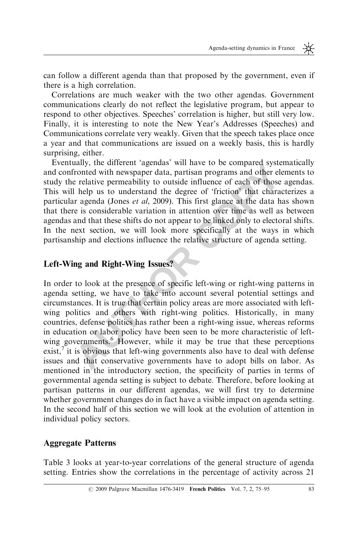can follow a different agenda than that proposed by the government, even if there is a high correlation.

Correlations are much weaker with the two other agendas. Government communications clearly do not reflect the legislative program, but appear to respond to other objectives. Speeches' correlation is higher, but still very low. Finally, it is interesting to note the New Year's Addresses (Speeches) and Communications correlate very weakly. Given that the speech takes place once a year and that communications are issued on a weekly basis, this is hardly surprising, either.

Eventually, the different 'agendas' will have to be compared systematically and confronted with newspaper data, partisan programs and other elements to study the relative permeability to outside influence of each of those agendas. This will help us to understand the degree of 'friction' that characterizes a particular agenda (Jones et al, 2009). This first glance at the data has shown that there is considerable variation in attention over time as well as between agendas and that these shifts do not appear to be linked only to electoral shifts. In the next section, we will look more specifically at the ways in which partisanship and elections influence the relative structure of agenda setting.

# Left-Wing and Right-Wing Issues?

The time the selection and the selection of a selection the selection in the distribution of the selection in the selection of the selection of the selection of the selection of the selection of the selection of the select In order to look at the presence of specific left-wing or right-wing patterns in agenda setting, we have to take into account several potential settings and circumstances. It is true that certain policy areas are more associated with leftwing politics and others with right-wing politics. Historically, in many countries, defense politics has rather been a right-wing issue, whereas reforms in education or labor policy have been seen to be more characteristic of leftwing governments.<sup>6</sup> However, while it may be true that these perceptions exist, $^7$  it is obvious that left-wing governments also have to deal with defense issues and that conservative governments have to adopt bills on labor. As mentioned in the introductory section, the specificity of parties in terms of governmental agenda setting is subject to debate. Therefore, before looking at partisan patterns in our different agendas, we will first try to determine whether government changes do in fact have a visible impact on agenda setting. In the second half of this section we will look at the evolution of attention in individual policy sectors.

#### Aggregate Patterns

Table 3 looks at year-to-year correlations of the general structure of agenda setting. Entries show the correlations in the percentage of activity across 21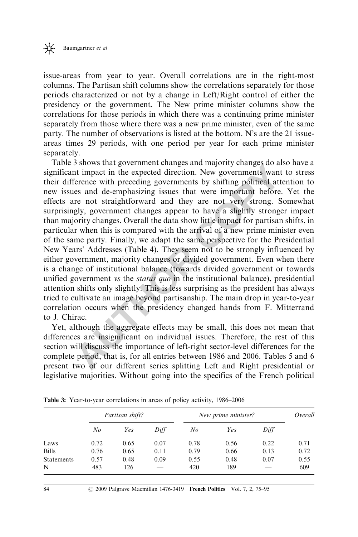issue-areas from year to year. Overall correlations are in the right-most columns. The Partisan shift columns show the correlations separately for those periods characterized or not by a change in Left/Right control of either the presidency or the government. The New prime minister columns show the correlations for those periods in which there was a continuing prime minister separately from those where there was a new prime minister, even of the same party. The number of observations is listed at the bottom. N's are the 21 issueareas times 29 periods, with one period per year for each prime minister separately.

3 shows that government ranages and majoring so also so and solven that impact in the expected direction. New governments want terence with preceding governments by shifting political attenes and de-emphasizing issues that Table 3 shows that government changes and majority changes do also have a significant impact in the expected direction. New governments want to stress their difference with preceding governments by shifting political attention to new issues and de-emphasizing issues that were important before. Yet the effects are not straightforward and they are not very strong. Somewhat surprisingly, government changes appear to have a slightly stronger impact than majority changes. Overall the data show little impact for partisan shifts, in particular when this is compared with the arrival of a new prime minister even of the same party. Finally, we adapt the same perspective for the Presidential New Years' Addresses (Table 4). They seem not to be strongly influenced by either government, majority changes or divided government. Even when there is a change of institutional balance (towards divided government or towards unified government vs the *status quo* in the institutional balance), presidential attention shifts only slightly. This is less surprising as the president has always tried to cultivate an image beyond partisanship. The main drop in year-to-year correlation occurs when the presidency changed hands from F. Mitterrand to J. Chirac.

Yet, although the aggregate effects may be small, this does not mean that differences are insignificant on individual issues. Therefore, the rest of this section will discuss the importance of left-right sector-level differences for the complete period, that is, for all entries between 1986 and 2006. Tables 5 and 6 present two of our different series splitting Left and Right presidential or legislative majorities. Without going into the specifics of the French political

|                   |         | Partisan shift? |      | New prime minister? | Overall |      |      |
|-------------------|---------|-----------------|------|---------------------|---------|------|------|
|                   | $N_{O}$ | Yes             | Diff | No                  | Yes     | Diff |      |
| Laws              | 0.72    | 0.65            | 0.07 | 0.78                | 0.56    | 0.22 | 0.71 |
| <b>Bills</b>      | 0.76    | 0.65            | 0.11 | 0.79                | 0.66    | 0.13 | 0.72 |
| <b>Statements</b> | 0.57    | 0.48            | 0.09 | 0.55                | 0.48    | 0.07 | 0.55 |
| N                 | 483     | 126             |      | 420                 | 189     |      | 609  |

Table 3: Year-to-year correlations in areas of policy activity, 1986–2006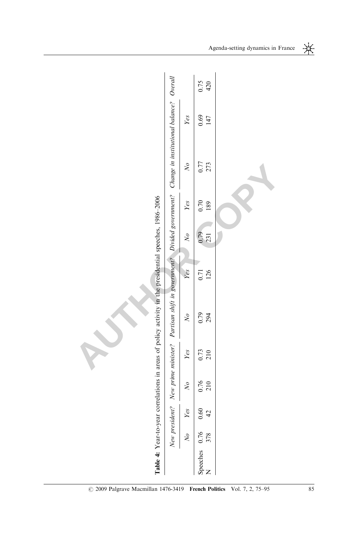|                                                                                                        |                                                                                                                               |                             | 0.75<br>420                     |  |
|--------------------------------------------------------------------------------------------------------|-------------------------------------------------------------------------------------------------------------------------------|-----------------------------|---------------------------------|--|
|                                                                                                        |                                                                                                                               | Yes                         | 0.69<br>147                     |  |
|                                                                                                        | New president? New prime minister? Partisan shift in government? Divided government? Change in institutional balance? Overall | $\sqrt{6}$                  | 0.77<br>273                     |  |
|                                                                                                        |                                                                                                                               | Yes                         | 0.70<br>189                     |  |
|                                                                                                        |                                                                                                                               | $\sqrt{6}$                  | 0.79<br>231                     |  |
|                                                                                                        |                                                                                                                               | Yes                         | 0.71<br>126                     |  |
| Table 4: Year-to-year correlations in areas of policy activity in the presidential speeches, 1986-2006 |                                                                                                                               | $\sqrt{N}$                  | 0.79<br>294                     |  |
|                                                                                                        |                                                                                                                               | Yes                         | 0.73<br>210                     |  |
|                                                                                                        |                                                                                                                               | $\mathcal{N}_{\mathcal{O}}$ | 0.76<br>210                     |  |
|                                                                                                        |                                                                                                                               | Yes                         | 0.60<br>42                      |  |
|                                                                                                        |                                                                                                                               | $\sqrt{6}$                  | 378                             |  |
|                                                                                                        |                                                                                                                               |                             | Speeches 0.76<br>$\overline{z}$ |  |

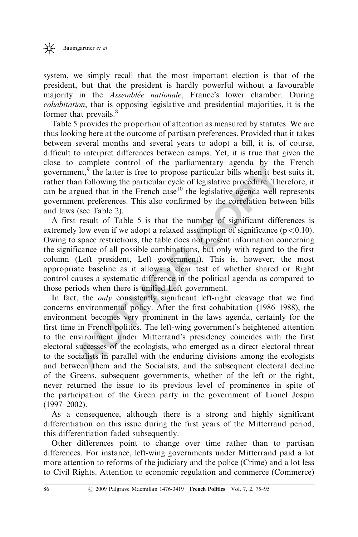system, we simply recall that the most important election is that of the president, but that the president is hardly powerful without a favourable majority in the Assemblée nationale, France's lower chamber. During cohabitation, that is opposing legislative and presidential majorities, it is the former that prevails.<sup>8</sup>

Table 5 provides the proportion of attention as measured by statutes. We are thus looking here at the outcome of partisan preferences. Provided that it takes between several months and several years to adopt a bill, it is, of course, difficult to interpret differences between camps. Yet, it is true that given the close to complete control of the parliamentary agenda by the French government, $9$  the latter is free to propose particular bills when it best suits it, rather than following the particular cycle of legislative procedure. Therefore, it can be argued that in the French case<sup>10</sup> the legislative agenda well represents government preferences. This also confirmed by the correlation between bills and laws (see Table 2).

A first result of Table 5 is that the number of significant differences is extremely low even if we adopt a relaxed assumption of significance  $(p<0.10)$ . Owing to space restrictions, the table does not present information concerning the significance of all possible combinations, but only with regard to the first column (Left president, Left government). This is, however, the most appropriate baseline as it allows a clear test of whether shared or Right control causes a systematic difference in the political agenda as compared to those periods when there is unified Left government.

Compete control of the partialmentary agenta by the<br>ener,<sup>9</sup> the latter is free to propose particular bills when it best and following the particular cycle of legislative procedure. There rgued that in the French case<sup>10</sup> In fact, the *only* consistently significant left-right cleavage that we find concerns environmental policy. After the first cohabitation (1986–1988), the environment becomes very prominent in the laws agenda, certainly for the first time in French politics. The left-wing government's heightened attention to the environment under Mitterrand's presidency coincides with the first electoral successes of the ecologists, who emerged as a direct electoral threat to the socialists in parallel with the enduring divisions among the ecologists and between them and the Socialists, and the subsequent electoral decline of the Greens, subsequent governments, whether of the left or the right, never returned the issue to its previous level of prominence in spite of the participation of the Green party in the government of Lionel Jospin (1997–2002).

As a consequence, although there is a strong and highly significant differentiation on this issue during the first years of the Mitterrand period, this differentiation faded subsequently.

Other differences point to change over time rather than to partisan differences. For instance, left-wing governments under Mitterrand paid a lot more attention to reforms of the judiciary and the police (Crime) and a lot less to Civil Rights. Attention to economic regulation and commerce (Commerce)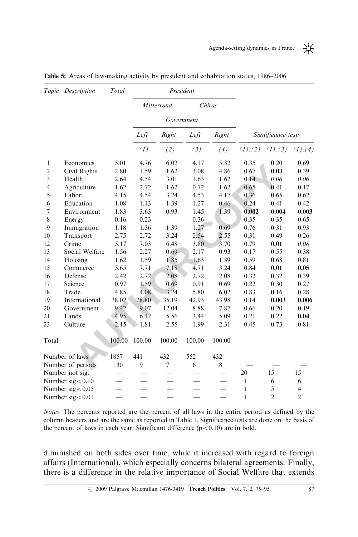

| Topic          | Description         | Total  |        |                | President  |                          |              |                    |                |
|----------------|---------------------|--------|--------|----------------|------------|--------------------------|--------------|--------------------|----------------|
|                |                     |        |        | Mitterrand     |            | Chirac                   |              |                    |                |
|                |                     |        |        |                | Government |                          |              |                    |                |
|                |                     |        | Left   | Right          | Left       | Right                    |              | Significance tests |                |
|                |                     |        | (1)    | (2)            | (3)        | (4)                      | (1):(2)      | (1):(3)            | (1):(4)        |
| $\mathbf{1}$   | Economics           | 5.01   | 4.76   | 6.02           | 4.17       | 5.32                     | 0.35         | 0.20               | 0.69           |
| $\overline{2}$ | Civil Rights        | 2.80   | 1.59   | 1.62           | 3.08       | 4.86                     | 0.67         | 0.03               | 0.39           |
| 3              | Health              | 2.64   | 4.54   | 3.01           | 1.63       | 1.62                     | 0.14         | 0.06               | 0.06           |
| $\overline{4}$ | Agriculture         | 1.62   | 2.72   | 1.62           | 0.72       | 1.62                     | 0.65         | 0.41               | 0.17           |
| 5              | Labor               | 4.15   | 4.54   | 3.24           | 4.53       | 4.17                     | 0.36         | 0.65               | 0.62           |
| 6              | Education           | 1.08   | 1.13   | 1.39           | 1.27       | 0.46                     | 0.24         | 0.41               | 0.42           |
| 7              | Environment         | 1.83   | 3.63   | 0.93           | 1.45       | 1.39                     | 0.002        | 0.004              | 0.003          |
| 8              | Energy              | 0.16   | 0.23   |                | 0.36       |                          | 0.35         | 0.35               | 0.65           |
| 9              | Immigration         | 1.18   | 1.36   | 1.39           | 1.27       | 0.69                     | 0.76         | 0.31               | 0.93           |
| 10             | Transport           | 2.75   | 2.72   | 3.24           | 2.54       | 2.55                     | 0.31         | 0.49               | 0.26           |
| 12             | Crime               | 5.17   | 7.03   | 6.48           | 3.80       | 3.70                     | 0.79         | 0.01               | 0.08           |
| 13             | Social Welfare      | 1.56   | 2.27   | 0.69           | 2.17       | 0.93                     | 0.17         | 0.55               | 0.38           |
| 14             | Housing             | 1.62   | 1.59   | 1.85           | 1.63       | 1.39                     | 0.59         | 0.68               | 0.81           |
| 15             | Commerce            | 5.65   | 7.71   | 7.18           | 4.71       | 3.24                     | 0.84         | 0.01               | 0.05           |
| 16             | Defense             | 2.42   | 2.72   | 2.08           | 2.72       | 2.08                     | 0.32         | 0.32               | 0.39           |
| 17             | Science             | 0.97   | 1.59   | 0.69           | 0.91       | 0.69                     | 0.22         | 0.30               | 0.27           |
| 18             | Trade               | 4.85   | 4.08   | 3.24           | 5.80       | 6.02                     | 0.83         | 0.16               | 0.28           |
| 19             | International       | 38.02  | 28.80  | 35.19          | 42.93      | 43.98                    | 0.14         | 0.003              | 0.006          |
| 20             | Government          | 9.42   | 9.07   | 12.04          | 8.88       | 7.87                     | 0.66         | 0.20               | 0.19           |
| 21             | Lands               | 4.95   | 6.12   | 5.56           | 3.44       | 5.09                     | 0.21         | 0.22               | 0.04           |
| 23             | Culture             | 2.15   | 1.81   | 2.55           | 1.99       | 2.31                     | 0.45         | 0.73               | 0.81           |
| Total          |                     | 100.00 | 100.00 | 100.00         | 100.00     | 100.00                   |              |                    |                |
|                | Number of laws      | 1857   | 441    | 432            | 552        | 432                      |              |                    |                |
|                | Number of periods   | 30     | 9      | $\overline{7}$ | 6          | 8                        |              |                    |                |
|                | Number not sig.     |        |        |                |            |                          | 20           | 15                 | 15             |
|                | Number $sig < 0.10$ |        |        |                |            | $\equiv$                 | $\mathbf{1}$ | 6                  | 6              |
|                | Number $sig < 0.05$ |        |        |                |            | $\overline{\phantom{0}}$ | $\mathbf{1}$ | 5                  | $\overline{4}$ |
|                | Number $sig < 0.01$ |        |        |                |            |                          | 1            | $\overline{2}$     | $\overline{c}$ |

Table 5: Areas of law-making activity by president and cohabitation status, 1986–2006

Notes: The percents reported are the percent of all laws in the entire period as defined by the column headers and are the same as reported in Table 1. Significance tests are done on the basis of the percent of laws in each year. Significant difference  $(p<0.10)$  are in bold.

diminished on both sides over time, while it increased with regard to foreign affairs (International), which especially concerns bilateral agreements. Finally, there is a difference in the relative importance of Social Welfare that extends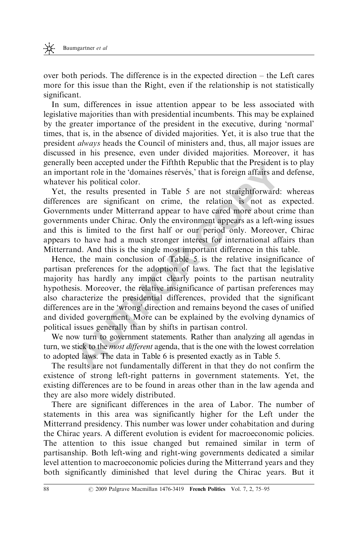over both periods. The difference is in the expected direction – the Left cares more for this issue than the Right, even if the relationship is not statistically significant.

In sum, differences in issue attention appear to be less associated with legislative majorities than with presidential incumbents. This may be explained by the greater importance of the president in the executive, during 'normal' times, that is, in the absence of divided majorities. Yet, it is also true that the president always heads the Council of ministers and, thus, all major issues are discussed in his presence, even under divided majorities. Moreover, it has generally been accepted under the Fifthth Republic that the President is to play an important role in the 'domaines réservés,' that is foreign affairs and defense, whatever his political color.

Yet, the results presented in Table 5 are not straightforward: whereas differences are significant on crime, the relation is not as expected. Governments under Mitterrand appear to have cared more about crime than governments under Chirac. Only the environment appears as a left-wing issues and this is limited to the first half or our period only. Moreover, Chirac appears to have had a much stronger interest for international affairs than Mitterrand. And this is the single most important difference in this table.

been accepted unter the Finith Republic that the Freshoeni and the Finith Nepthelm train tole in the 'domaines réservés,' that is foreign affairs and c risis political color.<br>
A results presented in Table 5 are not straigh Hence, the main conclusion of Table 5 is the relative insignificance of partisan preferences for the adoption of laws. The fact that the legislative majority has hardly any impact clearly points to the partisan neutrality hypothesis. Moreover, the relative insignificance of partisan preferences may also characterize the presidential differences, provided that the significant differences are in the 'wrong' direction and remains beyond the cases of unified and divided government. More can be explained by the evolving dynamics of political issues generally than by shifts in partisan control.

We now turn to government statements. Rather than analyzing all agendas in turn, we stick to the *most different* agenda, that is the one with the lowest correlation to adopted laws. The data in Table 6 is presented exactly as in Table 5.

The results are not fundamentally different in that they do not confirm the existence of strong left-right patterns in government statements. Yet, the existing differences are to be found in areas other than in the law agenda and they are also more widely distributed.

There are significant differences in the area of Labor. The number of statements in this area was significantly higher for the Left under the Mitterrand presidency. This number was lower under cohabitation and during the Chirac years. A different evolution is evident for macroeconomic policies. The attention to this issue changed but remained similar in term of partisanship. Both left-wing and right-wing governments dedicated a similar level attention to macroeconomic policies during the Mitterrand years and they both significantly diminished that level during the Chirac years. But it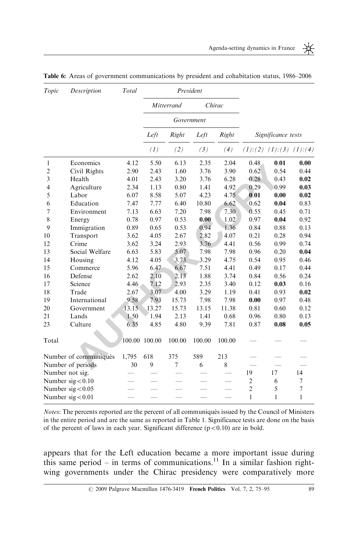| -<br>- |  |
|--------|--|
|        |  |

| Topic          | Description           | Total  |               |                | President  |        |                |                               |                |
|----------------|-----------------------|--------|---------------|----------------|------------|--------|----------------|-------------------------------|----------------|
|                |                       |        |               | Mitterrand     |            | Chirac |                |                               |                |
|                |                       |        |               |                | Government |        |                |                               |                |
|                |                       |        | Left          | Right          | Left       | Right  |                | Significance tests            |                |
|                |                       |        | (1)           | (2)            | (3)        | (4)    |                | $(1):(2)$ $(1):(3)$ $(1):(4)$ |                |
| $\mathbf{1}$   | Economics             | 4.12   | 5.50          | 6.13           | 2.35       | 2.04   | 0.48           | 0.01                          | 0.00           |
| $\overline{c}$ | Civil Rights          | 2.90   | 2.43          | 1.60           | 3.76       | 3.90   | 0.62           | 0.54                          | 0.44           |
| 3              | Health                | 4.01   | 2.43          | 3.20           | 3.76       | 6.28   | 0.28           | 0.43                          | 0.02           |
| 4              | Agriculture           | 2.34   | 1.13          | 0.80           | 1.41       | 4.92   | 0.29           | 0.99                          | 0.03           |
| 5              | Labor                 | 6.07   | 8.58          | 5.07           | 4.23       | 4.75   | 0.01           | 0.00                          | 0.02           |
| 6              | Education             | 7.47   | 7.77          | 6.40           | 10.80      | 6.62   | 0.62           | 0.04                          | 0.83           |
| 7              | Environment           | 7.13   | 6.63          | 7.20           | 7.98       | 7.30   | 0.55           | 0.45                          | 0.71           |
| 8              | Energy                | 0.78   | 0.97          | 0.53           | 0.00       | 1.02   | 0.97           | 0.04                          | 0.92           |
| 9              | Immigration           | 0.89   | 0.65          | 0.53           | 0.94       | 1.36   | 0.84           | 0.88                          | 0.13           |
| 10             | Transport             | 3.62   | 4.05          | 2.67           | 2.82       | 4.07   | 0.21           | 0.28                          | 0.94           |
| 12             | Crime                 | 3.62   | 3.24          | 2.93           | 3.76       | 4.41   | 0.56           | 0.99                          | 0.74           |
| 13             | Social Welfare        | 6.63   | 5.83          | 5.07           | 7.98       | 7.98   | 0.96           | 0.20                          | 0.04           |
| 14             | Housing               | 4.12   | 4.05          | 3.73           | 3.29       | 4.75   | 0.54           | 0.95                          | 0.46           |
| 15             | Commerce              | 5.96   | 6.47          | 6.67           | 7.51       | 4.41   | 0.49           | 0.17                          | 0.44           |
| 16             | Defense               | 2.62   | 2.10          | 2.13           | 1.88       | 3.74   | 0.84           | 0.56                          | 0.24           |
| 17             | Science               | 4.46   | 7.12          | 2.93           | 2.35       | 3.40   | 0.12           | 0.03                          | 0.16           |
| 18             | Trade                 | 2.67   | 3.07          | 4.00           | 3.29       | 1.19   | 0.41           | 0.93                          | 0.02           |
| 19             | International         | 9.58   | 7.93          | 15.73          | 7.98       | 7.98   | 0.00           | 0.97                          | 0.48           |
| 20             | Government            | 13.15. | 13.27         | 15.73          | 13.15      | 11.38  | 0.81           | 0.60                          | 0.12           |
| 21             | Lands                 | 1.50   | 1.94          | 2.13           | 1.41       | 0.68   | 0.96           | 0.80                          | 0.13           |
| 23             | Culture               | 6.35   | 4.85          | 4.80           | 9.39       | 7.81   | 0.87           | 0.08                          | 0.05           |
| Total          |                       |        | 100.00 100.00 | 100.00         | 100.00     | 100.00 |                |                               |                |
|                | Number of communiqués | 1,795  | 618           | 375            | 589        | 213    |                |                               |                |
|                | Number of periods     | 30     | 9             | $\overline{7}$ | 6          | 8      |                |                               |                |
|                | Number not sig.       |        |               |                |            |        | 19             | 17                            | 14             |
|                | Number $sig < 0.10$   |        |               |                |            |        | $\mathfrak{2}$ | 6                             | $\overline{7}$ |
|                | Number $sig < 0.05$   |        |               |                |            |        | $\overline{2}$ | 5                             | $\overline{7}$ |
|                | Number $sig < 0.01$   |        |               |                |            |        | 1              | 1                             | 1              |
|                |                       |        |               |                |            |        |                |                               |                |

Table 6: Areas of government communications by president and cohabitation status, 1986–2006

Notes: The percents reported are the percent of all communiqués issued by the Council of Ministers in the entire period and are the same as reported in Table 1. Significance tests are done on the basis of the percent of laws in each year. Significant difference  $(p<0.10)$  are in bold.

appears that for the Left education became a more important issue during this same period – in terms of communications.<sup>11</sup> In a similar fashion rightwing governments under the Chirac presidency were comparatively more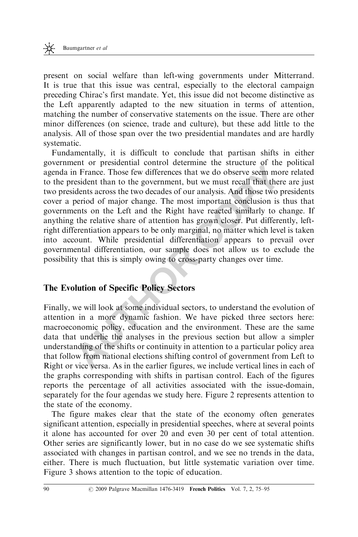present on social welfare than left-wing governments under Mitterrand. It is true that this issue was central, especially to the electoral campaign preceding Chirac's first mandate. Yet, this issue did not become distinctive as the Left apparently adapted to the new situation in terms of attention, matching the number of conservative statements on the issue. There are other minor differences (on science, trade and culture), but these add little to the analysis. All of those span over the two presidential mandates and are hardly systematic.

Entrol presidential control determine the studient of the Function<br>in France. Those few differences that we do bestrve seem more<br>resident than to the government, but we must recall that there<br>idents across the two decades Fundamentally, it is difficult to conclude that partisan shifts in either government or presidential control determine the structure of the political agenda in France. Those few differences that we do observe seem more related to the president than to the government, but we must recall that there are just two presidents across the two decades of our analysis. And those two presidents cover a period of major change. The most important conclusion is thus that governments on the Left and the Right have reacted similarly to change. If anything the relative share of attention has grown closer. Put differently, leftright differentiation appears to be only marginal, no matter which level is taken into account. While presidential differentiation appears to prevail over governmental differentiation, our sample does not allow us to exclude the possibility that this is simply owing to cross-party changes over time.

#### The Evolution of Specific Policy Sectors

Finally, we will look at some individual sectors, to understand the evolution of attention in a more dynamic fashion. We have picked three sectors here: macroeconomic policy, education and the environment. These are the same data that underlie the analyses in the previous section but allow a simpler understanding of the shifts or continuity in attention to a particular policy area that follow from national elections shifting control of government from Left to Right or vice versa. As in the earlier figures, we include vertical lines in each of the graphs corresponding with shifts in partisan control. Each of the figures reports the percentage of all activities associated with the issue-domain, separately for the four agendas we study here. Figure 2 represents attention to the state of the economy.

The figure makes clear that the state of the economy often generates significant attention, especially in presidential speeches, where at several points it alone has accounted for over 20 and even 30 per cent of total attention. Other series are significantly lower, but in no case do we see systematic shifts associated with changes in partisan control, and we see no trends in the data, either. There is much fluctuation, but little systematic variation over time. Figure 3 shows attention to the topic of education.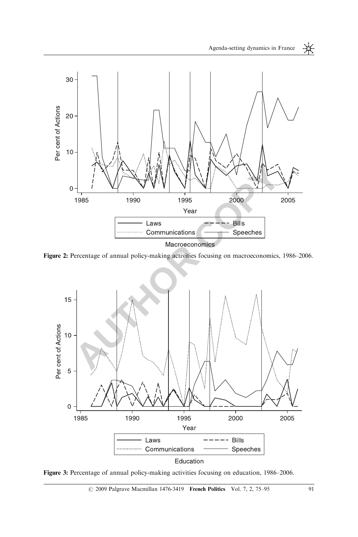Agenda-setting dynamics in France

 $\frac{1}{\sqrt{2}}$ 



Figure 2: Percentage of annual policy-making activities focusing on macroeconomics, 1986–2006.



Figure 3: Percentage of annual policy-making activities focusing on education, 1986–2006.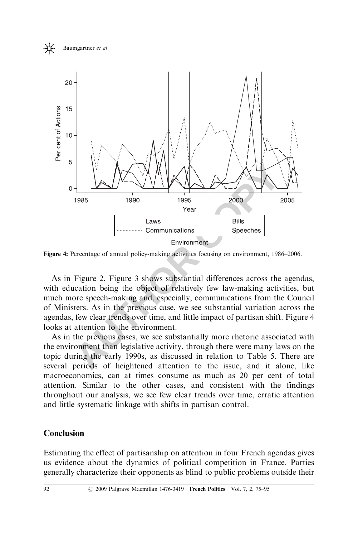



Figure 4: Percentage of annual policy-making activities focusing on environment, 1986–2006.

As in Figure 2, Figure 3 shows substantial differences across the agendas, with education being the object of relatively few law-making activities, but much more speech-making and, especially, communications from the Council of Ministers. As in the previous case, we see substantial variation across the agendas, few clear trends over time, and little impact of partisan shift. Figure 4 looks at attention to the environment.

As in the previous cases, we see substantially more rhetoric associated with the environment than legislative activity, through there were many laws on the topic during the early 1990s, as discussed in relation to Table 5. There are several periods of heightened attention to the issue, and it alone, like macroeconomics, can at times consume as much as 20 per cent of total attention. Similar to the other cases, and consistent with the findings throughout our analysis, we see few clear trends over time, erratic attention and little systematic linkage with shifts in partisan control.

### Conclusion

Estimating the effect of partisanship on attention in four French agendas gives us evidence about the dynamics of political competition in France. Parties generally characterize their opponents as blind to public problems outside their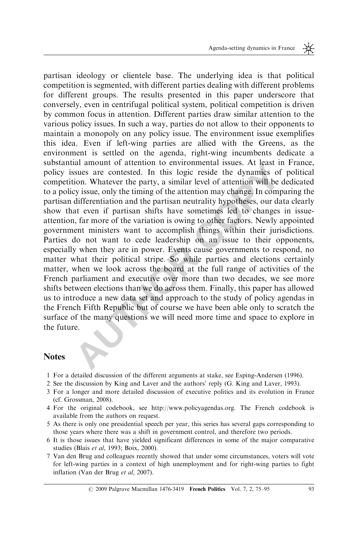and aniount of attention to environmental issues. At least in the<br>sasues are contested. In this logic reside the dynamics of position. Whatever the party, a similar level of attention will be de<br>by issue, only the timing o partisan ideology or clientele base. The underlying idea is that political competition is segmented, with different parties dealing with different problems for different groups. The results presented in this paper underscore that conversely, even in centrifugal political system, political competition is driven by common focus in attention. Different parties draw similar attention to the various policy issues. In such a way, parties do not allow to their opponents to maintain a monopoly on any policy issue. The environment issue exemplifies this idea. Even if left-wing parties are allied with the Greens, as the environment is settled on the agenda, right-wing incumbents dedicate a substantial amount of attention to environmental issues. At least in France, policy issues are contested. In this logic reside the dynamics of political competition. Whatever the party, a similar level of attention will be dedicated to a policy issue, only the timing of the attention may change. In comparing the partisan differentiation and the partisan neutrality hypotheses, our data clearly show that even if partisan shifts have sometimes led to changes in issueattention, far more of the variation is owing to other factors. Newly appointed government ministers want to accomplish things within their jurisdictions. Parties do not want to cede leadership on an issue to their opponents, especially when they are in power. Events cause governments to respond, no matter what their political stripe. So while parties and elections certainly matter, when we look across the board at the full range of activities of the French parliament and executive over more than two decades, we see more shifts between elections than we do across them. Finally, this paper has allowed us to introduce a new data set and approach to the study of policy agendas in the French Fifth Republic but of course we have been able only to scratch the surface of the many questions we will need more time and space to explore in the future.

#### **Notes**

- 1 For a detailed discussion of the different arguments at stake, see Esping-Andersen (1996).
- 2 See the discussion by King and Laver and the authors' reply (G. King and Laver, 1993).
- 3 For a longer and more detailed discussion of executive politics and its evolution in France (cf. Grossman, 2008).
- 4 For the original codebook, see http://www.policyagendas.org. The French codebook is available from the authors on request.
- 5 As there is only one presidential speech per year, this series has several gaps corresponding to those years where there was a shift in government control, and therefore two periods.
- 6 It is those issues that have yielded significant differences in some of the major comparative studies (Blais et al, 1993; Boix, 2000).
- 7 Van den Brug and colleagues recently showed that under some circumstances, voters will vote for left-wing parties in a context of high unemployment and for right-wing parties to fight inflation (Van der Brug et al, 2007).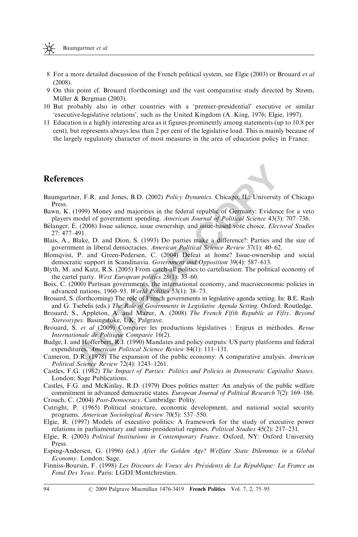- 8 For a more detailed discussion of the French political system, see Elgie (2003) or Brouard et al (2008).
- 9 On this point cf. Brouard (forthcoming) and the vast comparative study directed by Strøm, Müller & Bergman (2003).
- 10 But probably also in other countries with a 'premier-presidential' executive or similar 'executive-legislative relations', such as the United Kingdom (A. King, 1976; Elgie, 1997).
- 11 Education is a highly interesting area as it figures prominently among statements (up to 10.8 per cent), but represents always less than 2 per cent of the legislative load. This is mainly because of the largely regulatory character of most measures in the area of education policy in France.

#### References

- **COPY MOTE SET ALL (2002)** Policy Dynamics. Chicago, IL: University of (1999) Money and majorities in the federal republic of Germany: Evidence federal (30.000) Issue salience, issue ownership, and issue-based vote choice. Baumgartner, F.R. and Jones, B.D. (2002) Policy Dynamics. Chicago, IL: University of Chicago Press.
- Bawn, K. (1999) Money and majorities in the federal republic of Germany: Evidence for a veto players model of government spending. American Journal of Political Science 43(3): 707–736.
- Bélanger, E. (2008) Issue salience, issue ownership, and issue-based vote choice. Electoral Studies 27: 477–491.
- Blais, A., Blake, D. and Dion, S. (1993) Do parties make a difference?: Parties and the size of government in liberal democracies. American Political Science Review 37(1): 40–62.
- Blomqvist, P. and Green-Pedersen, C. (2004) Defeat at home? Issue-ownership and social democratic support in Scandinavia. Government and Opposition 39(4): 587–613.
- Blyth, M. and Katz, R.S. (2005) From catch-all politics to cartelisation: The political economy of the cartel party. West European politics 28(1): 33–60.
- Boix, C. (2000) Partisan governments, the international economy, and macroeconomic policies in advanced nations, 1960–93. World Politics 53(1): 38–73.
- Brouard, S. (forthcoming) The role of French governments in legislative agenda setting. In: B.E. Rash and G. Tsebelis (eds.) The Role of Governments in Legislative Agenda Setting. Oxford: Routledge.
- Brouard, S., Appleton, A. and Mazur, A. (2008) The French Fifth Republic at Fifty. Beyond Stereotypes. Basingstoke, UK: Palgrave.
- Brouard, S. et al (2009) Comparer les productions législatives : Enjeux et méthodes. Revue Internationale de Politique Comparée 16(2).
- Budge, I. and Hofferbert, R.I. (1990) Mandates and policy outputs: US party platforms and federal expenditures. American Political Science Review 84(1): 111–131.
- Cameron, D.R. (1978) The expansion of the public economy: A comparative analysis. American Political Science Review 72(4): 1243–1261.
- Castles, F.G. (1982) The Impact of Parties: Politics and Policies in Democratic Capitalist States. London: Sage Publications.

Castles, F.G. and McKinlay, R.D. (1979) Does politics matter: An analysis of the public welfare commitment in advanced democratic states. European Journal of Political Research 7(2): 169–186. Crouch, C. (2004) Post-Democracy. Cambridge: Polity.

Cutright, P. (1965) Political structure, economic development, and national social security

- programs. American Sociological Review 70(5): 537–550. Elgie, R. (1997) Models of executive politics: A framework for the study of executive power relations in parliamentary and semi-presidential regimes. Political Studies 45(2): 217–231.
- Elgie, R. (2003) Political Institutions in Contemporary France. Oxford, NY: Oxford University Press.
- Esping-Andersen, G. (1996) (ed.) After the Golden Age? Welfare State Dilemmas in a Global Economy. London: Sage.
- Finniss-Boursin, F. (1998) Les Discours de Voeux des Présidents de La République: La France au Fond Des Yeux. Paris: LGDJ/Montchrestien.